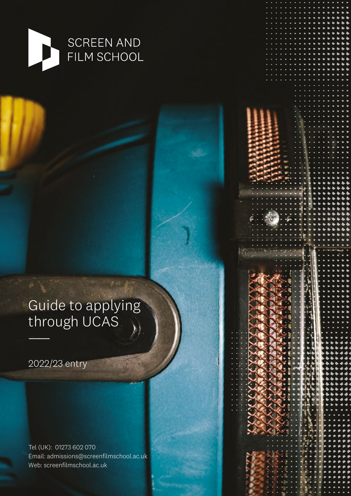

# Guide to applying through UCAS

2022/23 entry

——

Tel (UK): 01273 602 070 Email: admissions@screenfilmschool[.ac.uk](http://www.brictt.co.uk) Web: screenfilmschool[.ac.uk](http://www.brictt.co.uk)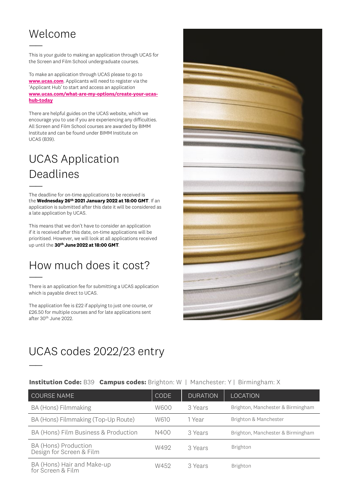## Welcome

——

——

——

This is your guide to making an application through UCAS for the Screen and Film School undergraduate courses.

To make an application through UCAS please to go to **[www.ucas.com](http://www.ucas.com)**. Applicants will need to register via the 'Applicant Hub' to start and access an application **www***.***ucas***.***com***/***what***-***are***-***my***-***options***/***create***-***your***-***ucas****hub***-***today**

There are helpful guides on the UCAS website, which we encourage you to use if you are experiencing any difficulties. All Screen and Film School courses are awarded by BIMM Institute and can be found under BIMM Institute on UCAS (B39).

## UCAS Application Deadlines

The deadline for on-time applications to be received is the **Wednesday 26th 2021 January 2022 at 18:00 GMT**. If an application is submitted after this date it will be considered as a late application by UCAS.

This means that we don't have to consider an application if it is received after this date, on-time applications will be prioritised. However, we will look at all applications received up until the **30th June 2022 at 18:00 GMT**.

### How much does it cost? ——

There is an application fee for submitting a UCAS application which is payable direct to UCAS.

The application fee is £22 if applying to just one course, or £26.50 for multiple courses and for late applications sent after 30th June 2022.



#### **Institution Code:** B39 **Campus codes:** Brighton: W | Manchester: Y | Birmingham: X

| COURSE NAME                                      | <b>CODE</b> | <b>DURATION</b> | <b>LOCATION</b>                   |
|--------------------------------------------------|-------------|-----------------|-----------------------------------|
| BA (Hons) Filmmaking                             | W600        | 3 Years         | Brighton, Manchester & Birmingham |
| BA (Hons) Filmmaking (Top-Up Route)              | W610        | 1 Year          | Brighton & Manchester             |
| BA (Hons) Film Business & Production             | N400        | 3 Years         | Brighton, Manchester & Birmingham |
| BA (Hons) Production<br>Design for Screen & Film | W492        | 3 Years         | Brighton                          |
| BA (Hons) Hair and Make-up<br>for Screen & Film  | W452        | 3 Years         | Brighton                          |